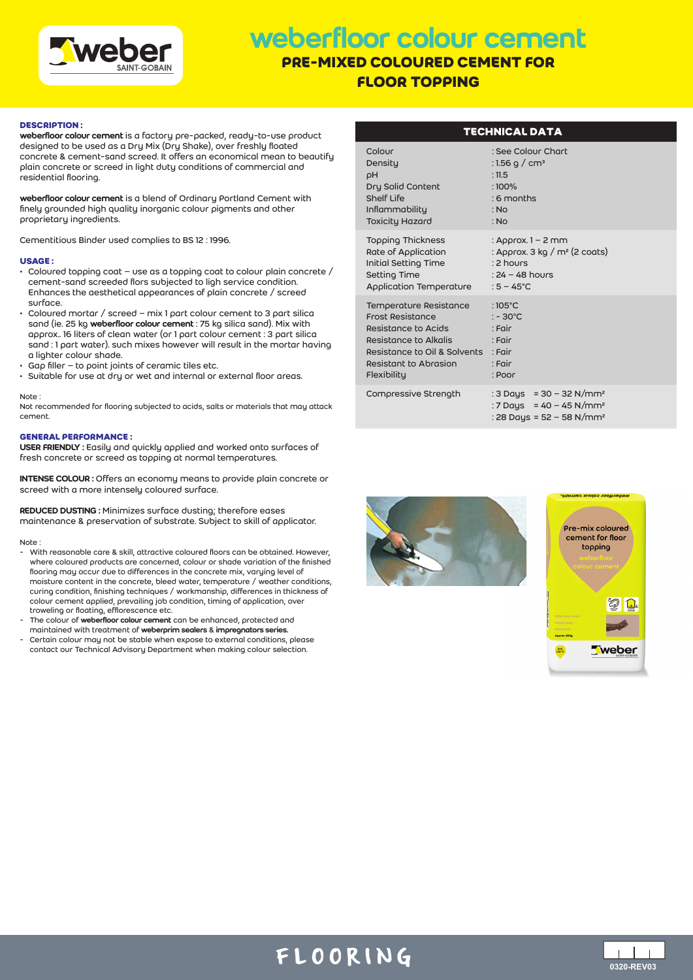

# weberfloor colour cement

# **PRE-MIXED COLOURED CEMENT FOR FLOOR TOPPING**

### **DESCRIPTION :**

weberfloor colour cement is a factory pre-packed, ready-to-use product designed to be used as a Dry Mix (Dry Shake), over freshly floated concrete & cement-sand screed. It offers an economical mean to beautify plain concrete or screed in light duty conditions of commercial and residential flooring.

weberfloor colour cement is a blend of Ordinary Portland Cement with finely grounded high quality inorganic colour pigments and other proprietary ingredients.

Cementitious Binder used complies to BS 12 : 1996.

#### **USAGE :**

- Coloured topping coat use as a topping coat to colour plain concrete / cement-sand screeded flors subjected to ligh service condition. Enhances the aesthetical appearances of plain concrete / screed surface.
- Coloured mortar / screed mix 1 part colour cement to 3 part silica sand (ie. 25 kg weberfloor colour cement : 75 kg silica sand). Mix with approx.. 16 liters of clean water (or 1 part colour cement : 3 part silica sand : 1 part water). such mixes however will result in the mortar having a lighter colour shade.
- Gap filler to point joints of ceramic tiles etc.
- Suitable for use at dry or wet and internal or external floor areas.

#### Note :

Not recommended for flooring subjected to acids, salts or materials that may attack cement.

### **GENERAL PERFORMANCE :**

USER FRIENDLY : Easily and quickly applied and worked onto surfaces of fresh concrete or screed as topping at normal temperatures.

INTENSE COLOUR : Offers an economy means to provide plain concrete or screed with a more intensely coloured surface.

REDUCED DUSTING : Minimizes surface dusting; therefore eases maintenance & preservation of substrate. Subject to skill of applicator.

#### Note :

- With reasonable care & skill, attractive coloured floors can be obtained. However, where coloured products are concerned, colour or shade variation of the finished flooring may occur due to differences in the concrete mix, varying level of moisture content in the concrete, bleed water, temperature / weather conditions, curing condition, finishing techniques / workmanship, differences in thickness of colour cement applied, prevailing job condition, timing of application, over troweling or floating, efflorescence etc.
- The colour of weberfloor colour cement can be enhanced, protected and maintained with treatment of weberprim sealers & impregnators series.
- Certain colour may not be stable when expose to external conditions, please contact our Technical Advisory Department when making colour selection.

| <b>TECHNICAL DATA</b> |                                                                                                                                                                           |                                                                                                                         |
|-----------------------|---------------------------------------------------------------------------------------------------------------------------------------------------------------------------|-------------------------------------------------------------------------------------------------------------------------|
|                       | Colour<br>Density<br>ρH<br>Dry Solid Content<br><b>Shelf Life</b><br><b>Inflammability</b><br><b>Toxicity Hazard</b>                                                      | : See Colour Chart<br>: 1.56 g / cm <sup>3</sup><br>: 11.5<br>$:100\%$<br>$: 6$ months<br>: No<br>: No                  |
|                       | Topping Thickness<br>Rate of Application<br><b>Initial Setting Time</b><br>Setting Time<br>Application Temperature                                                        | : Approx. $1 - 2$ mm<br>: Approx. 3 kg / $m2$ (2 coats)<br>: 2 hours<br>: $24 - 48$ hours<br>: $5 - 45^{\circ}$ C       |
|                       | Temperature Resistance<br><b>Frost Resistance</b><br>Resistance to Acids<br>Resistance to Alkalis<br>Resistance to Oil & Solvents<br>Resistant to Abrasion<br>Flexibility | : $105^{\circ}$ C<br>$: -30^{\circ}$ C<br>: Fair<br>: Fair<br>$:$ Fair<br>: Fair<br>: Poor                              |
|                       | Compressive Strength                                                                                                                                                      | : 3 Days = $30 - 32$ N/mm <sup>2</sup><br>: 7 Days = 40 - 45 N/mm <sup>2</sup><br>: 28 Daus = 52 - 58 N/mm <sup>2</sup> |





# FLOORING **0320-REV03**